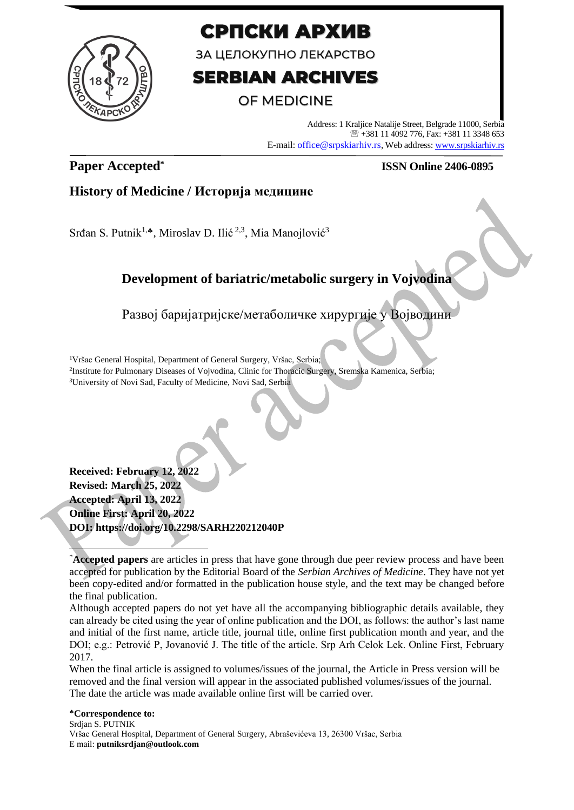

# СРПСКИ АРХИВ

ЗА ЦЕЛОКУПНО ЛЕКАРСТВО

# **SERBIAN ARCHIVES**

# **OF MEDICINE**

Address: 1 Kraljice Natalije Street, Belgrade 11000, Serbia +381 11 4092 776, Fax: +381 11 3348 653 E-mail: office@srpskiarhiv.rs, Web address[: www.srpskiarhiv.rs](http://www.srpskiarhiv.rs/)

# **Paper Accepted\***

## **ISSN Online 2406-0895**

# **History of Medicine / Историја медицине**

Srđan S. Putnik<sup>1, $\bullet$ </sup>, Miroslav D. Ilić <sup>2,3</sup>, Mia Manojlović<sup>3</sup>

# **Development of bariatric/metabolic surgery in Vojvodina**

Развој баријатријске/метаболичке хирургије у Војводини

<sup>1</sup>Vršac General Hospital, Department of General Surgery, Vršac, Serbia;

2 Institute for Pulmonary Diseases of Vojvodina, Clinic for Thoracic Surgery, Sremska Kamenica, Serbia; <sup>3</sup>University of Novi Sad, Faculty of Medicine, Novi Sad, Serbia

**Received: February 12, 2022 Revised: March 25, 2022 Accepted: April 13, 2022 Online First: April 20, 2022 DOI: https://doi.org/10.2298/SARH220212040P**

Although accepted papers do not yet have all the accompanying bibliographic details available, they can already be cited using the year of online publication and the DOI, as follows: the author's last name and initial of the first name, article title, journal title, online first publication month and year, and the DOI; e.g.: Petrović P, Jovanović J. The title of the article. Srp Arh Celok Lek. Online First, February 2017.

When the final article is assigned to volumes/issues of the journal, the Article in Press version will be removed and the final version will appear in the associated published volumes/issues of the journal. The date the article was made available online first will be carried over.

#### **Correspondence to:** Srdjan S. PUTNIK Vršac General Hospital, Department of General Surgery, Abraševićeva 13, 26300 Vršac, Serbia E mail: **putniksrdjan@outlook.com**

<sup>\*</sup>**Accepted papers** are articles in press that have gone through due peer review process and have been accepted for publication by the Editorial Board of the *Serbian Archives of Medicine*. They have not yet been copy-edited and/or formatted in the publication house style, and the text may be changed before the final publication.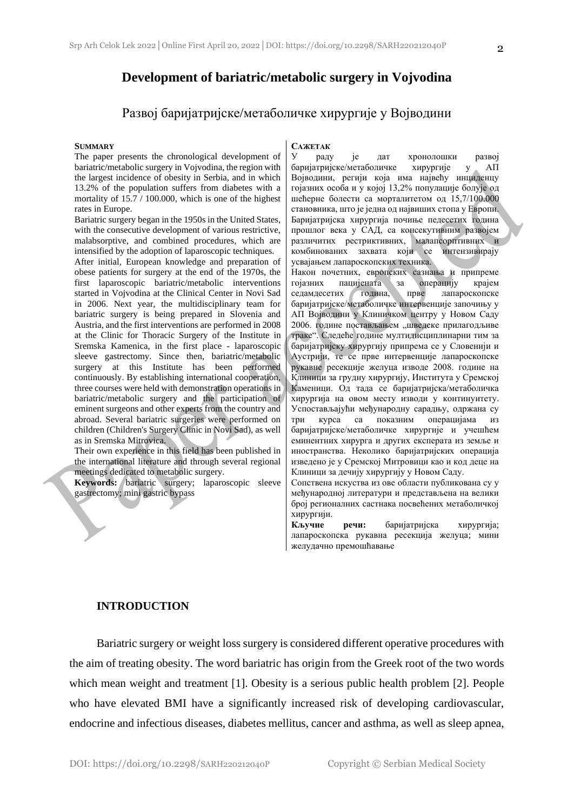### **Development of bariatric/metabolic surgery in Vojvodina**

## Развој баријатријске/метаболичке хирургије у Војводини

#### **SUMMARY**

The paper presents the chronological development of bariatric/metabolic surgery in Vojvodina, the region with the largest incidence of obesity in Serbia, and in which 13.2% of the population suffers from diabetes with a mortality of 15.7 / 100.000, which is one of the highest rates in Europe.

Bariatric surgery began in the 1950s in the United States, with the consecutive development of various restrictive, malabsorptive, and combined procedures, which are intensified by the adoption of laparoscopic techniques.

After initial, European knowledge and preparation of obese patients for surgery at the end of the 1970s, the first laparoscopic bariatric/metabolic interventions started in Vojvodina at the Clinical Center in Novi Sad in 2006. Next year, the multidisciplinary team for bariatric surgery is being prepared in Slovenia and Austria, and the first interventions are performed in 2008 at the Clinic for Thoracic Surgery of the Institute in Sremska Kamenica, in the first place - laparoscopic sleeve gastrectomy. Since then, bariatric/metabolic surgery at this Institute has been performed continuously. By establishing international cooperation, three courses were held with demonstration operations in bariatric/metabolic surgery and the participation of eminent surgeons and other experts from the country and abroad. Several bariatric surgeries were performed on children (Children's Surgery Clinic in Novi Sad), as well as in Sremska Mitrovica.

Their own experience in this field has been published in the international literature and through several regional meetings dedicated to metabolic surgery.

**Keywords:** bariatric surgery; laparoscopic sleeve gastrectomy; mini gastric bypass

#### **САЖЕТАК**

У раду је дат хронолошки развој баријатријске/метаболичке хирургије у АП Војводини, регији која има највећу инциденцу гојазних особа и у којој 13,2% популације болује од шећерне болести са морталитетом од 15,7/100.000 становника, што је једна од највиших стопа у Европи. Баријатријска хирургија почиње педесетих година прошлог века у САД, са консекутивним развојем различитих рестриктивних, малапсорптивних и комбинованих захвата који се интензивирају усвајањем лапароскопских техника.

Након почетних, европских сазнања и припреме гојазних пацијената за операцију крајем седамдесетих година, прве лапароскопске баријатријске/метаболичке интервенције започињу у АП Војводини у Клиничком центру у Новом Саду 2006. године постављањем "шведске прилагодљиве траке". Следеће године мултидисциплинарни тим за баријатријску хирургију припрема се у Словенији и Аустрији, те се прве интервенције лапароскопске рукавне ресекције желуца изводе 2008. године на Клиници за грудну хирургију, Института у Сремској Каменици. Од тада се баријатријска/метаболичка хирургија на овом месту изводи у континуитету. Успостављајући међународну сарадњу, одржана су три курса са показним операцијама из баријатријске/метаболичке хирургије и учешћем еминентних хирурга и других експерата из земље и иностранства. Неколико баријатријских операција изведено је у Сремској Митровици као и код деце на Клиници за дечију хирургију у Новом Саду.

Сопствена искуства из ове области публикована су у међународној литератури и представљена на велики број регионалних састнака посвећених метаболичкој хирургији.

**Кључне речи:** баријатријска хирургија; лапароскопска рукавна ресекција желуца; мини желудачно премошћавање

#### **INTRODUCTION**

Bariatric surgery or weight loss surgery is considered different operative procedures with the aim of treating obesity. The word bariatric has origin from the Greek root of the two words which mean weight and treatment [1]. Obesity is a serious public health problem [2]. People who have elevated BMI have a significantly increased risk of developing cardiovascular, endocrine and infectious diseases, diabetes mellitus, cancer and asthma, as well as sleep apnea,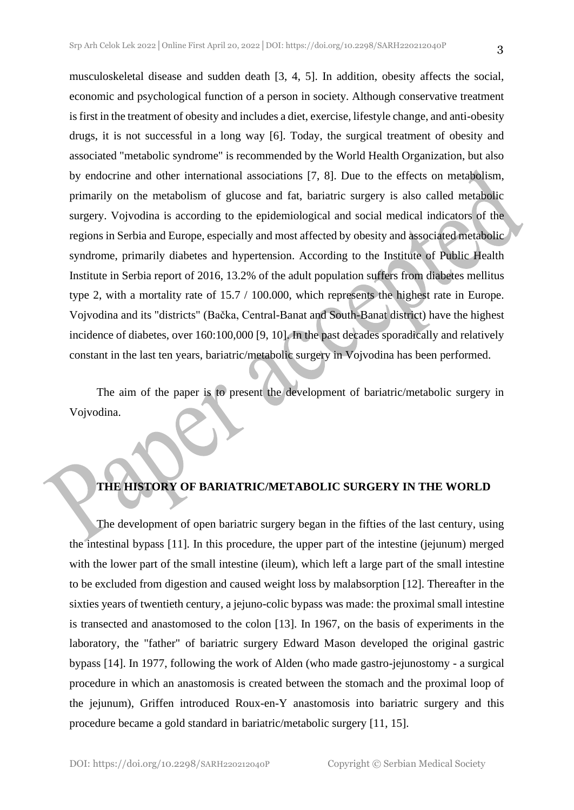musculoskeletal disease and sudden death [3, 4, 5]. In addition, obesity affects the social, economic and psychological function of a person in society. Although conservative treatment is first in the treatment of obesity and includes a diet, exercise, lifestyle change, and anti-obesity drugs, it is not successful in a long way [6]. Today, the surgical treatment of obesity and associated "metabolic syndrome" is recommended by the World Health Organization, but also by endocrine and other international associations [7, 8]. Due to the effects on metabolism, primarily on the metabolism of glucose and fat, bariatric surgery is also called metabolic surgery. Vojvodina is according to the epidemiological and social medical indicators of the regions in Serbia and Europe, especially and most affected by obesity and associated metabolic syndrome, primarily diabetes and hypertension. According to the Institute of Public Health Institute in Serbia report of 2016, 13.2% of the adult population suffers from diabetes mellitus type 2, with a mortality rate of 15.7 / 100.000, which represents the highest rate in Europe. Vojvodina and its "districts" (Bačka, Central-Banat and South-Banat district) have the highest incidence of diabetes, over 160:100,000 [9, 10]. In the past decades sporadically and relatively constant in the last ten years, bariatric/metabolic surgery in Vojvodina has been performed.

The aim of the paper is to present the development of bariatric/metabolic surgery in Vojvodina.

### **THE HISTORY OF BARIATRIC/METABOLIC SURGERY IN THE WORLD**

The development of open bariatric surgery began in the fifties of the last century, using the intestinal bypass [11]. In this procedure, the upper part of the intestine (jejunum) merged with the lower part of the small intestine (ileum), which left a large part of the small intestine to be excluded from digestion and caused weight loss by malabsorption [12]. Thereafter in the sixties years of twentieth century, a jejuno-colic bypass was made: the proximal small intestine is transected and anastomosed to the colon [13]. In 1967, on the basis of experiments in the laboratory, the "father" of bariatric surgery Edward Mason developed the original gastric bypass [14]. In 1977, following the work of Alden (who made gastro-jejunostomy - a surgical procedure in which an anastomosis is created between the stomach and the proximal loop of the jejunum), Griffen introduced Roux-en-Y anastomosis into bariatric surgery and this procedure became a gold standard in bariatric/metabolic surgery [11, 15].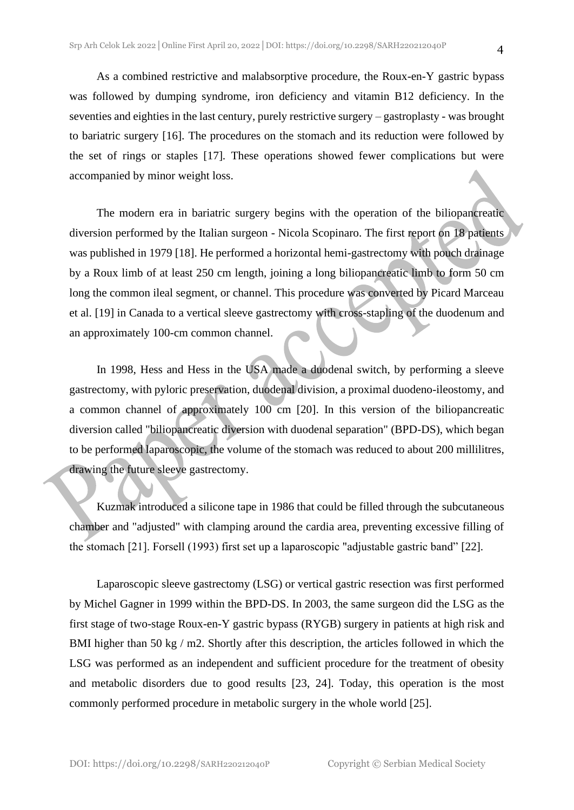As a combined restrictive and malabsorptive procedure, the Roux-en-Y gastric bypass was followed by dumping syndrome, iron deficiency and vitamin B12 deficiency. In the seventies and eighties in the last century, purely restrictive surgery – gastroplasty - was brought to bariatric surgery [16]. The procedures on the stomach and its reduction were followed by the set of rings or staples [17]. These operations showed fewer complications but were accompanied by minor weight loss.

The modern era in bariatric surgery begins with the operation of the biliopancreatic diversion performed by the Italian surgeon - Nicola Scopinaro. The first report on 18 patients was published in 1979 [18]. He performed a horizontal hemi-gastrectomy with pouch drainage by a Roux limb of at least 250 cm length, joining a long biliopancreatic limb to form 50 cm long the common ileal segment, or channel. This procedure was converted by Picard Marceau et al. [19] in Canada to a vertical sleeve gastrectomy with cross-stapling of the duodenum and an approximately 100-cm common channel.

In 1998, Hess and Hess in the USA made a duodenal switch, by performing a sleeve gastrectomy, with pyloric preservation, duodenal division, a proximal duodeno-ileostomy, and a common channel of approximately 100 cm [20]. In this version of the biliopancreatic diversion called "biliopancreatic diversion with duodenal separation" (BPD-DS), which began to be performed laparoscopic, the volume of the stomach was reduced to about 200 millilitres, drawing the future sleeve gastrectomy.

Kuzmak introduced a silicone tape in 1986 that could be filled through the subcutaneous chamber and "adjusted" with clamping around the cardia area, preventing excessive filling of the stomach [21]. Forsell (1993) first set up a laparoscopic "adjustable gastric band" [22].

Laparoscopic sleeve gastrectomy (LSG) or vertical gastric resection was first performed by Michel Gagner in 1999 within the BPD-DS. In 2003, the same surgeon did the LSG as the first stage of two-stage Roux-en-Y gastric bypass (RYGB) surgery in patients at high risk and BMI higher than 50 kg / m2. Shortly after this description, the articles followed in which the LSG was performed as an independent and sufficient procedure for the treatment of obesity and metabolic disorders due to good results [23, 24]. Today, this operation is the most commonly performed procedure in metabolic surgery in the whole world [25].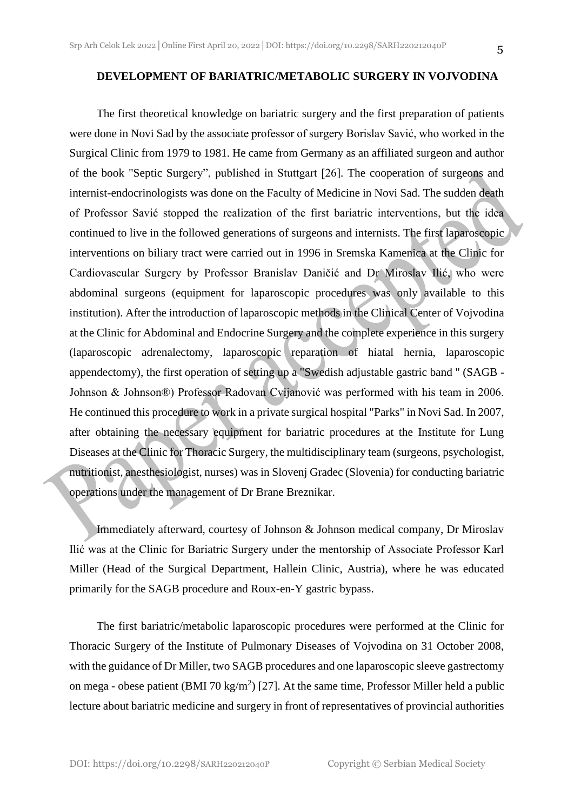#### **DEVELOPMENT OF BARIATRIC/METABOLIC SURGERY IN VOJVODINA**

The first theoretical knowledge on bariatric surgery and the first preparation of patients were done in Novi Sad by the associate professor of surgery Borislav Savić, who worked in the Surgical Clinic from 1979 to 1981. He came from Germany as an affiliated surgeon and author of the book "Septic Surgery", published in Stuttgart [26]. The cooperation of surgeons and internist-endocrinologists was done on the Faculty of Medicine in Novi Sad. The sudden death of Professor Savić stopped the realization of the first bariatric interventions, but the idea continued to live in the followed generations of surgeons and internists. The first laparoscopic interventions on biliary tract were carried out in 1996 in Sremska Kamenica at the Clinic for Cardiovascular Surgery by Professor Branislav Daničić and Dr Miroslav Ilić, who were abdominal surgeons (equipment for laparoscopic procedures was only available to this institution). After the introduction of laparoscopic methods in the Clinical Center of Vojvodina at the Clinic for Abdominal and Endocrine Surgery and the complete experience in this surgery (laparoscopic adrenalectomy, laparoscopic reparation of hiatal hernia, laparoscopic appendectomy), the first operation of setting up a "Swedish adjustable gastric band " (SAGB - Johnson & Johnson®) Professor Radovan Cvijanović was performed with his team in 2006. He continued this procedure to work in a private surgical hospital "Parks" in Novi Sad. In 2007, after obtaining the necessary equipment for bariatric procedures at the Institute for Lung Diseases at the Clinic for Thoracic Surgery, the multidisciplinary team (surgeons, psychologist, nutritionist, anesthesiologist, nurses) was in Slovenj Gradec (Slovenia) for conducting bariatric operations under the management of Dr Brane Breznikar.

Immediately afterward, courtesy of Johnson & Johnson medical company, Dr Miroslav Ilić was at the Clinic for Bariatric Surgery under the mentorship of Associate Professor Karl Miller (Head of the Surgical Department, Hallein Clinic, Austria), where he was educated primarily for the SAGB procedure and Roux-en-Y gastric bypass.

The first bariatric/metabolic laparoscopic procedures were performed at the Clinic for Thoracic Surgery of the Institute of Pulmonary Diseases of Vojvodina on 31 October 2008, with the guidance of Dr Miller, two SAGB procedures and one laparoscopic sleeve gastrectomy on mega - obese patient (BMI 70 kg/m<sup>2</sup>) [27]. At the same time, Professor Miller held a public lecture about bariatric medicine and surgery in front of representatives of provincial authorities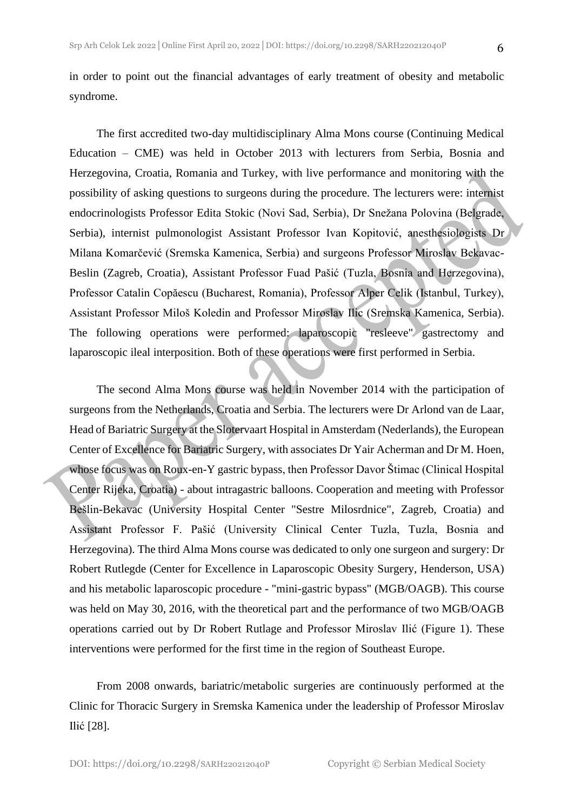in order to point out the financial advantages of early treatment of obesity and metabolic syndrome.

The first accredited two-day multidisciplinary Alma Mons course (Continuing Medical Education – CME) was held in October 2013 with lecturers from Serbia, Bosnia and Herzegovina, Croatia, Romania and Turkey, with live performance and monitoring with the possibility of asking questions to surgeons during the procedure. The lecturers were: internist endocrinologists Professor Edita Stokic (Novi Sad, Serbia), Dr Snežana Polovina (Belgrade, Serbia), internist pulmonologist Assistant Professor Ivan Kopitović, anesthesiologists Dr Milana Komarčević (Sremska Kamenica, Serbia) and surgeons Professor Miroslav Bekavac-Beslin (Zagreb, Croatia), Assistant Professor Fuad Pašić (Tuzla, Bosnia and Herzegovina), Professor Catalin Copăescu (Bucharest, Romania), Professor Alper Celik (Istanbul, Turkey), Assistant Professor Miloš Koledin and Professor Miroslav Ilic (Sremska Kamenica, Serbia). The following operations were performed: laparoscopic "resleeve" gastrectomy and laparoscopic ileal interposition. Both of these operations were first performed in Serbia.

The second Alma Mons course was held in November 2014 with the participation of surgeons from the Netherlands, Croatia and Serbia. The lecturers were Dr Arlond van de Laar, Head of Bariatric Surgery at the Slotervaart Hospital in Amsterdam (Nederlands), the European Center of Excellence for Bariatric Surgery, with associates Dr Yair Acherman and Dr M. Hoen, whose focus was on Roux-en-Y gastric bypass, then Professor Davor Štimac (Clinical Hospital Center Rijeka, Croatia) - about intragastric balloons. Cooperation and meeting with Professor Bešlin-Bekavac (University Hospital Center "Sestre Milosrdnice", Zagreb, Croatia) and Assistant Professor F. Pašić (University Clinical Center Tuzla, Tuzla, Bosnia and Herzegovina). The third Alma Mons course was dedicated to only one surgeon and surgery: Dr Robert Rutlegde (Center for Excellence in Laparoscopic Obesity Surgery, Henderson, USA) and his metabolic laparoscopic procedure - "mini-gastric bypass" (MGB/OAGB). This course was held on May 30, 2016, with the theoretical part and the performance of two MGB/OAGB operations carried out by Dr Robert Rutlage and Professor Miroslav Ilić (Figure 1). These interventions were performed for the first time in the region of Southeast Europe.

From 2008 onwards, bariatric/metabolic surgeries are continuously performed at the Clinic for Thoracic Surgery in Sremska Kamenica under the leadership of Professor Miroslav Ilić [28].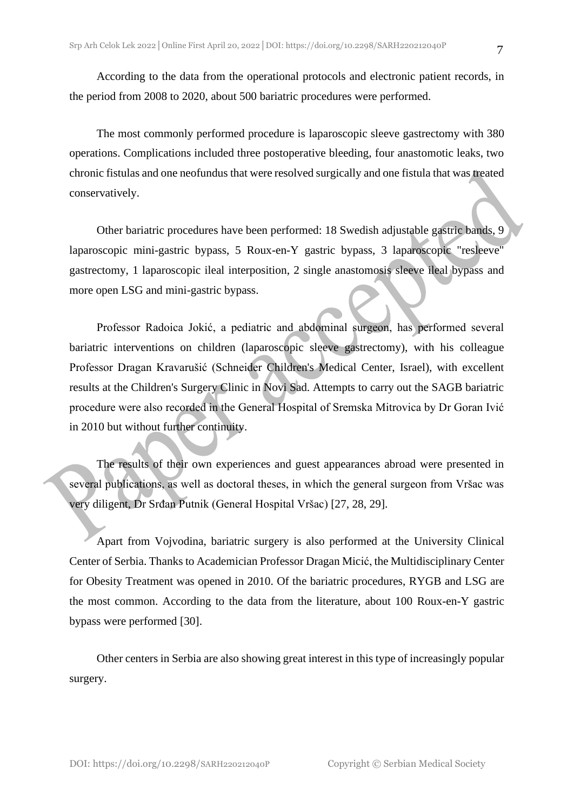According to the data from the operational protocols and electronic patient records, in the period from 2008 to 2020, about 500 bariatric procedures were performed.

The most commonly performed procedure is laparoscopic sleeve gastrectomy with 380 operations. Complications included three postoperative bleeding, four anastomotic leaks, two chronic fistulas and one neofundus that were resolved surgically and one fistula that was treated conservatively.

Other bariatric procedures have been performed: 18 Swedish adjustable gastric bands, 9 laparoscopic mini-gastric bypass, 5 Roux-en-Y gastric bypass, 3 laparoscopic "resleeve" gastrectomy, 1 laparoscopic ileal interposition, 2 single anastomosis sleeve ileal bypass and more open LSG and mini-gastric bypass.

Professor Radoica Jokić, a pediatric and abdominal surgeon, has performed several bariatric interventions on children (laparoscopic sleeve gastrectomy), with his colleague Professor Dragan Kravarušić (Schneider Children's Medical Center, Israel), with excellent results at the Children's Surgery Clinic in Novi Sad. Attempts to carry out the SAGB bariatric procedure were also recorded in the General Hospital of Sremska Mitrovica by Dr Goran Ivić in 2010 but without further continuity.

The results of their own experiences and guest appearances abroad were presented in several publications, as well as doctoral theses, in which the general surgeon from Vršac was very diligent, Dr Srđan Putnik (General Hospital Vršac) [27, 28, 29].

Apart from Vojvodina, bariatric surgery is also performed at the University Clinical Center of Serbia. Thanks to Academician Professor Dragan Micić, the Multidisciplinary Center for Obesity Treatment was opened in 2010. Of the bariatric procedures, RYGB and LSG are the most common. According to the data from the literature, about 100 Roux-en-Y gastric bypass were performed [30].

Other centers in Serbia are also showing great interest in this type of increasingly popular surgery.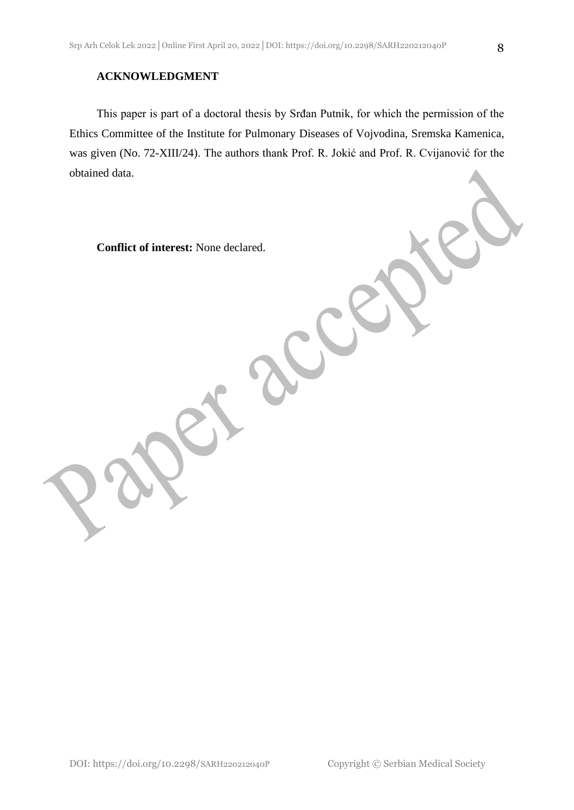### **ACKNOWLEDGMENT**

This paper is part of a doctoral thesis by Srđan Putnik, for which the permission of the Ethics Committee of the Institute for Pulmonary Diseases of Vojvodina, Sremska Kamenica, was given (No. 72-XIII/24). The authors thank Prof. R. Jokić and Prof. R. Cvijanović for the obtained data.

**Conflict of interest:** None declared.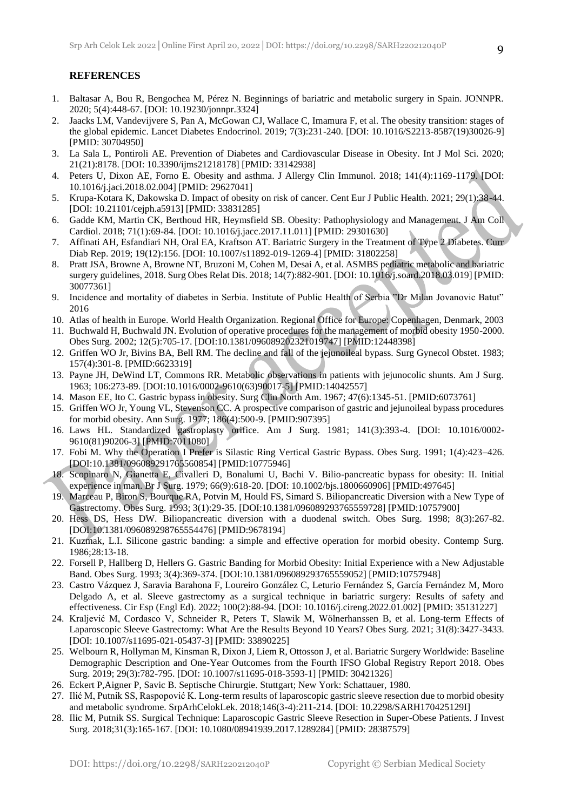#### **REFERENCES**

- 1. Baltasar A, Bou R, Bengochea M, Pérez N. Beginnings of bariatric and metabolic surgery in Spain. JONNPR. 2020; 5(4):448-67. [DOI: 10.19230/jonnpr.3324]
- 2. Jaacks LM, Vandevijvere S, Pan A, McGowan CJ, Wallace C, Imamura F, et al. The obesity transition: stages of the global epidemic. Lancet Diabetes Endocrinol. 2019; 7(3):231-240. [DOI: 10.1016/S2213-8587(19)30026-9] [PMID: 30704950]
- 3. La Sala L, Pontiroli AE. Prevention of Diabetes and Cardiovascular Disease in Obesity. Int J Mol Sci. 2020; 21(21):8178. [DOI: 10.3390/ijms21218178] [PMID: 33142938]
- 4. Peters U, Dixon AE, Forno E. Obesity and asthma. J Allergy Clin Immunol. 2018; 141(4):1169-1179. [DOI: 10.1016/j.jaci.2018.02.004] [PMID: 29627041]
- 5. Krupa-Kotara K, Dakowska D. Impact of obesity on risk of cancer. Cent Eur J Public Health. 2021; 29(1):38-44. [DOI: 10.21101/cejph.a5913] [PMID: 33831285]
- 6. Gadde KM, Martin CK, Berthoud HR, Heymsfield SB. Obesity: Pathophysiology and Management. J Am Coll Cardiol. 2018; 71(1):69-84. [DOI: 10.1016/j.jacc.2017.11.011] [PMID: 29301630]
- 7. Affinati AH, Esfandiari NH, Oral EA, Kraftson AT. Bariatric Surgery in the Treatment of Type 2 Diabetes. Curr Diab Rep. 2019; 19(12):156. [DOI: 10.1007/s11892-019-1269-4] [PMID: 31802258]
- 8. Pratt JSA, Browne A, Browne NT, Bruzoni M, Cohen M, Desai A, et al. ASMBS pediatric metabolic and bariatric surgery guidelines, 2018. Surg Obes Relat Dis. 2018; 14(7):882-901. [DOI: 10.1016/j.soard.2018.03.019] [PMID: 30077361]
- 9. Incidence and mortality of diabetes in Serbia. Institute of Public Health of Serbia "Dr Milan Jovanovic Batut" 2016
- 10. Atlas of health in Europe. World Health Organization. Regional Office for Europe: Copenhagen, Denmark, 2003
- 11. Buchwald H, Buchwald JN. Evolution of operative procedures for the management of morbid obesity 1950-2000. Obes Surg. 2002; 12(5):705-17. [DOI:10.1381/096089202321019747] [PMID:12448398]
- 12. Griffen WO Jr, Bivins BA, Bell RM. The decline and fall of the jejunoileal bypass. Surg Gynecol Obstet. 1983; 157(4):301-8. [PMID:6623319]
- 13. Payne JH, DeWind LT, Commons RR. Metabolic observations in patients with jejunocolic shunts. Am J Surg. 1963; 106:273-89. [DOI:10.1016/0002-9610(63)90017-5] [PMID:14042557]
- 14. Mason EE, Ito C. Gastric bypass in obesity. Surg Clin North Am. 1967; 47(6):1345-51. [PMID:6073761]
- 15. Griffen WO Jr, Young VL, Stevenson CC. A prospective comparison of gastric and jejunoileal bypass procedures for morbid obesity. Ann Surg. 1977; 186(4):500-9. [PMID:907395]
- 16. Laws HL. Standardized gastroplasty orifice. Am J Surg. 1981; 141(3):393-4. [DOI: 10.1016/0002- 9610(81)90206-3] [PMID:7011080]
- 17. Fobi M. Why the Operation I Prefer is Silastic Ring Vertical Gastric Bypass. Obes Surg. 1991; 1(4):423–426. [DOI:10.1381/096089291765560854] [PMID:10775946]
- 18. Scopinaro N, Gianetta E, Civalleri D, Bonalumi U, Bachi V. Bilio-pancreatic bypass for obesity: II. Initial experience in man. Br J Surg. 1979; 66(9):618-20. [DOI: 10.1002/bjs.1800660906] [PMID:497645]
- 19. Marceau P, Biron S, Bourque RA, Potvin M, Hould FS, Simard S. Biliopancreatic Diversion with a New Type of Gastrectomy. Obes Surg. 1993; 3(1):29-35. [DOI:10.1381/096089293765559728] [PMID:10757900]
- 20. Hess DS, Hess DW. Biliopancreatic diversion with a duodenal switch. Obes Surg. 1998; 8(3):267-82. [DOI:10.1381/096089298765554476] [PMID:9678194]
- 21. Kuzmak, L.I. Silicone gastric banding: a simple and effective operation for morbid obesity. Contemp Surg. 1986;28:13-18.
- 22. Forsell P, Hallberg D, Hellers G. Gastric Banding for Morbid Obesity: Initial Experience with a New Adjustable Band. Obes Surg. 1993; 3(4):369-374. [DOI:10.1381/096089293765559052] [PMID:10757948]
- 23. Castro Vázquez J, Saravia Barahona F, Loureiro González C, Leturio Fernández S, García Fernández M, Moro Delgado A, et al. Sleeve gastrectomy as a surgical technique in bariatric surgery: Results of safety and effectiveness. Cir Esp (Engl Ed). 2022; 100(2):88-94. [DOI: 10.1016/j.cireng.2022.01.002] [PMID: 35131227]
- 24. Kraljević M, Cordasco V, Schneider R, Peters T, Slawik M, Wölnerhanssen B, et al. Long-term Effects of Laparoscopic Sleeve Gastrectomy: What Are the Results Beyond 10 Years? Obes Surg. 2021; 31(8):3427-3433. [DOI: 10.1007/s11695-021-05437-3] [PMID: 33890225]
- 25. Welbourn R, Hollyman M, Kinsman R, Dixon J, Liem R, Ottosson J, et al. Bariatric Surgery Worldwide: Baseline Demographic Description and One-Year Outcomes from the Fourth IFSO Global Registry Report 2018. Obes Surg. 2019; 29(3):782-795. [DOI: 10.1007/s11695-018-3593-1] [PMID: 30421326]
- 26. Eckert P,Aigner P, Savic B. Septische Chirurgie. Stuttgart; New York: Schattauer, 1980.
- 27. Ilić M, Putnik SS, Raspopović K. Long-term results of laparoscopic gastric sleeve resection due to morbid obesity and metabolic syndrome. SrpArhCelokLek. 2018;146(3-4):211-214. [DOI: 10.2298/SARH170425129I]
- 28. Ilic M, Putnik SS. Surgical Technique: Laparoscopic Gastric Sleeve Resection in Super-Obese Patients. J Invest Surg. 2018;31(3):165-167. [DOI: 10.1080/08941939.2017.1289284] [PMID: 28387579]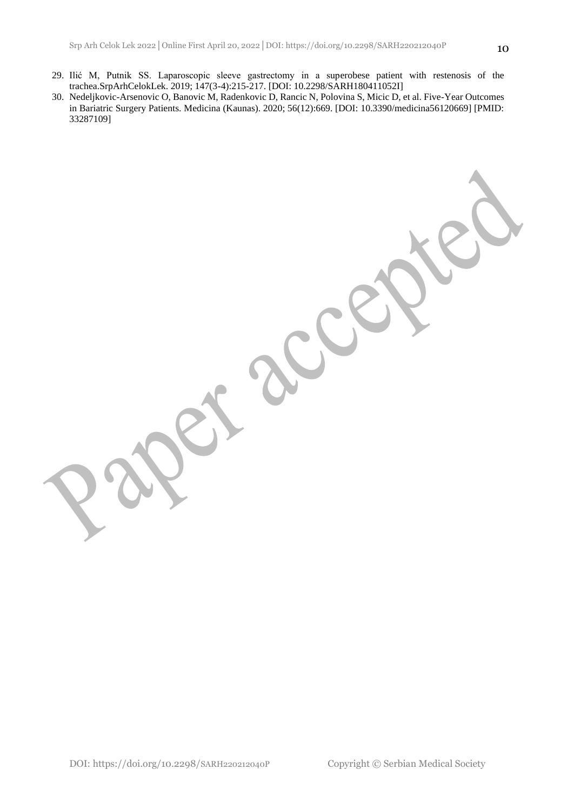- 29. Ilić M, Putnik SS. Laparoscopic sleeve gastrectomy in a superobese patient with restenosis of the trachea.SrpArhCelokLek. 2019; 147(3-4):215-217. [DOI: 10.2298/SARH180411052I]
- 30. Nedeljkovic-Arsenovic O, Banovic M, Radenkovic D, Rancic N, Polovina S, Micic D, et al. Five-Year Outcomes in Bariatric Surgery Patients. Medicina (Kaunas). 2020; 56(12):669. [DOI: 10.3390/medicina56120669] [PMID: 33287109]